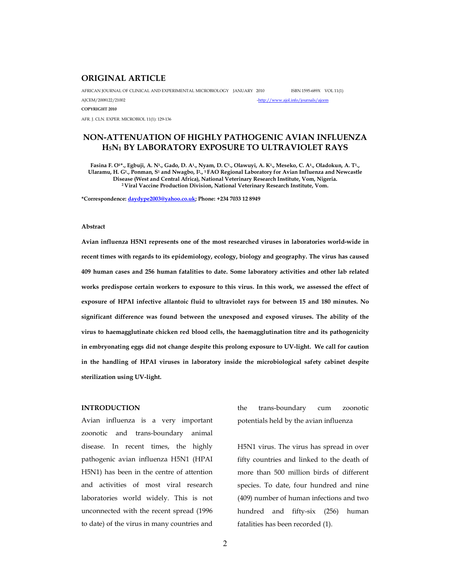# **ORIGINAL ARTICLE**

AFRICAN JOURNAL OF CLINICAL AND EXPERIMENTAL MICROBIOLOGY JANUARY 2010 ISBN 1595-689X VOL 11(1) AJCEM/2008122/21002<br>
-http://www.ajol.info/journals/ajcem

AFR. J. CLN. EXPER. MICROBIOL 11(1): 129-136

# **NON-ATTENUATION OF HIGHLY PATHOGENIC AVIAN INFLUENZA H5N1 BY LABORATORY EXPOSURE TO ULTRAVIOLET RAYS**

**Fasina F. O1\*., Egbuji, A. N<sup>1</sup> ., Gado, D. A<sup>1</sup> ., Nyam, D. C<sup>1</sup> ., Olawuyi, A. K<sup>1</sup> ., Meseko, C. A<sup>1</sup> ., Oladokun, A. T<sup>1</sup> ., Ularamu, H. G<sup>1</sup> ., Ponman, S<sup>1</sup> and Nwagbo, I<sup>2</sup> ., <sup>1</sup>FAO Regional Laboratory for Avian Influenza and Newcastle Disease (West and Central Africa), National Veterinary Research Institute, Vom, Nigeria. <sup>2</sup>Viral Vaccine Production Division, National Veterinary Research Institute, Vom.** 

**\*Correspondence: daydype2003@yahoo.co.uk; Phone: +234 7033 12 8949** 

### **Abstract**

**COPYRIGHT 2010** 

**Avian influenza H5N1 represents one of the most researched viruses in laboratories world-wide in recent times with regards to its epidemiology, ecology, biology and geography. The virus has caused 409 human cases and 256 human fatalities to date. Some laboratory activities and other lab related works predispose certain workers to exposure to this virus. In this work, we assessed the effect of exposure of HPAI infective allantoic fluid to ultraviolet rays for between 15 and 180 minutes. No significant difference was found between the unexposed and exposed viruses. The ability of the virus to haemagglutinate chicken red blood cells, the haemagglutination titre and its pathogenicity in embryonating eggs did not change despite this prolong exposure to UV-light. We call for caution in the handling of HPAI viruses in laboratory inside the microbiological safety cabinet despite sterilization using UV-light.** 

### **INTRODUCTION**

Avian influenza is a very important zoonotic and trans-boundary animal disease. In recent times, the highly pathogenic avian influenza H5N1 (HPAI H5N1) has been in the centre of attention and activities of most viral research laboratories world widely. This is not unconnected with the recent spread (1996 to date) of the virus in many countries and

the trans-boundary cum zoonotic potentials held by the avian influenza

H5N1 virus. The virus has spread in over fifty countries and linked to the death of more than 500 million birds of different species. To date, four hundred and nine (409) number of human infections and two hundred and fifty-six (256) human fatalities has been recorded (1).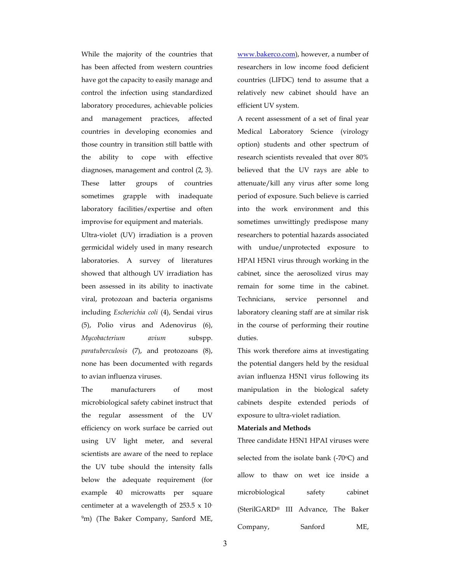While the majority of the countries that has been affected from western countries have got the capacity to easily manage and control the infection using standardized laboratory procedures, achievable policies and management practices, affected countries in developing economies and those country in transition still battle with the ability to cope with effective diagnoses, management and control (2, 3). These latter groups of countries sometimes grapple with inadequate laboratory facilities/expertise and often improvise for equipment and materials.

Ultra-violet (UV) irradiation is a proven germicidal widely used in many research laboratories. A survey of literatures showed that although UV irradiation has been assessed in its ability to inactivate viral, protozoan and bacteria organisms including *Escherichia coli* (4), Sendai virus (5), Polio virus and Adenovirus (6), *Mycobacterium avium* subspp. *paratuberculosis* (7), and protozoans (8), none has been documented with regards to avian influenza viruses.

The manufacturers of most microbiological safety cabinet instruct that the regular assessment of the UV efficiency on work surface be carried out using UV light meter, and several scientists are aware of the need to replace the UV tube should the intensity falls below the adequate requirement (for example 40 microwatts per square centimeter at a wavelength of 253.5 x 10- <sup>9</sup>m) (The Baker Company, Sanford ME,

www.bakerco.com), however, a number of researchers in low income food deficient countries (LIFDC) tend to assume that a relatively new cabinet should have an efficient UV system.

A recent assessment of a set of final year Medical Laboratory Science (virology option) students and other spectrum of research scientists revealed that over 80% believed that the UV rays are able to attenuate/kill any virus after some long period of exposure. Such believe is carried into the work environment and this sometimes unwittingly predispose many researchers to potential hazards associated with undue/unprotected exposure to HPAI H5N1 virus through working in the cabinet, since the aerosolized virus may remain for some time in the cabinet. Technicians, service personnel and laboratory cleaning staff are at similar risk in the course of performing their routine duties.

This work therefore aims at investigating the potential dangers held by the residual avian influenza H5N1 virus following its manipulation in the biological safety cabinets despite extended periods of exposure to ultra-violet radiation.

#### **Materials and Methods**

Three candidate H5N1 HPAI viruses were selected from the isolate bank  $(-70^{\circ}C)$  and allow to thaw on wet ice inside a microbiological safety cabinet (SterilGARD® III Advance, The Baker Company, Sanford ME,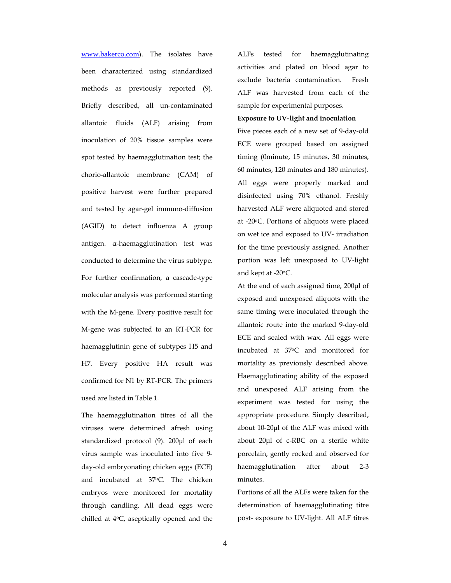www.bakerco.com). The isolates have been characterized using standardized methods as previously reported (9). Briefly described, all un-contaminated allantoic fluids (ALF) arising from inoculation of 20% tissue samples were spot tested by haemagglutination test; the chorio-allantoic membrane (CAM) of positive harvest were further prepared and tested by agar-gel immuno-diffusion (AGID) to detect influenza A group antigen. α-haemagglutination test was conducted to determine the virus subtype. For further confirmation, a cascade-type molecular analysis was performed starting with the M-gene. Every positive result for M-gene was subjected to an RT-PCR for haemagglutinin gene of subtypes H5 and H7. Every positive HA result was confirmed for N1 by RT-PCR. The primers used are listed in Table 1.

The haemagglutination titres of all the viruses were determined afresh using standardized protocol (9). 200µl of each virus sample was inoculated into five 9 day-old embryonating chicken eggs (ECE) and incubated at 37°C. The chicken embryos were monitored for mortality through candling. All dead eggs were chilled at  $4^{\circ}C$ , aseptically opened and the

ALFs tested for haemagglutinating activities and plated on blood agar to exclude bacteria contamination. Fresh ALF was harvested from each of the sample for experimental purposes.

#### **Exposure to UV-light and inoculation**

Five pieces each of a new set of 9-day-old ECE were grouped based on assigned timing (0minute, 15 minutes, 30 minutes, 60 minutes, 120 minutes and 180 minutes). All eggs were properly marked and disinfected using 70% ethanol. Freshly harvested ALF were aliquoted and stored at -20oC. Portions of aliquots were placed on wet ice and exposed to UV- irradiation for the time previously assigned. Another portion was left unexposed to UV-light and kept at  $-20$ <sup>o</sup>C.

At the end of each assigned time, 200µl of exposed and unexposed aliquots with the same timing were inoculated through the allantoic route into the marked 9-day-old ECE and sealed with wax. All eggs were incubated at 37<sup>o</sup>C and monitored for mortality as previously described above. Haemagglutinating ability of the exposed and unexposed ALF arising from the experiment was tested for using the appropriate procedure. Simply described, about 10-20µl of the ALF was mixed with about 20µl of c-RBC on a sterile white porcelain, gently rocked and observed for haemagglutination after about 2-3 minutes.

Portions of all the ALFs were taken for the determination of haemagglutinating titre post- exposure to UV-light. All ALF titres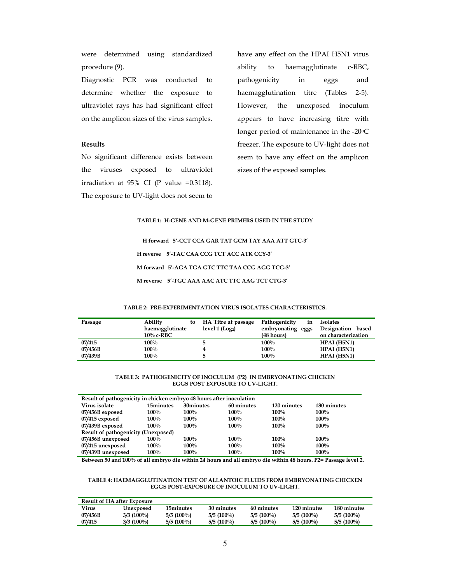were determined using standardized procedure (9).

Diagnostic PCR was conducted to determine whether the exposure to ultraviolet rays has had significant effect on the amplicon sizes of the virus samples.

### **Results**

No significant difference exists between the viruses exposed to ultraviolet irradiation at  $95\%$  CI (P value =0.3118). The exposure to UV-light does not seem to

have any effect on the HPAI H5N1 virus ability to haemagglutinate c-RBC, pathogenicity in eggs and haemagglutination titre (Tables 2-5). However, the unexposed inoculum appears to have increasing titre with longer period of maintenance in the  $-20^{\circ}$ C freezer. The exposure to UV-light does not seem to have any effect on the amplicon sizes of the exposed samples.

#### **TABLE 1: H-GENE AND M-GENE PRIMERS USED IN THE STUDY**

**H forward 5'-CCT CCA GAR TAT GCM TAY AAA ATT GTC-3' H reverse 5'-TAC CAA CCG TCT ACC ATK CCY-3' M forward 5'-AGA TGA GTC TTC TAA CCG AGG TCG-3' M reverse 5'-TGC AAA AAC ATC TTC AAG TCT CTG-3'** 

#### **TABLE 2: PRE-EXPERIMENTATION VIRUS ISOLATES CHARACTERISTICS.**

| Passage | Ability<br>to<br>haemagglutinate<br>$10\%$ c-RBC | HA Titre at passage<br>level 1 (Log <sub>2</sub> ) | Pathogenicity<br>in<br>embryonating<br>eggs<br>$(48 \text{ hours})$ | <b>Isolates</b><br>Designation<br>based<br>on characterization |
|---------|--------------------------------------------------|----------------------------------------------------|---------------------------------------------------------------------|----------------------------------------------------------------|
| 07/415  | $100\%$                                          |                                                    | $100\%$                                                             | HPAI (H5N1)                                                    |
| 07/456B | $100\%$                                          |                                                    | 100%                                                                | HPAI (H5N1)                                                    |
| 07/439B | 100%                                             |                                                    | 100%                                                                | HPAI (H5N1)                                                    |

#### **TABLE 3: PATHOGENICITY OF INOCULUM (P2) IN EMBRYONATING CHICKEN EGGS POST EXPOSURE TO UV-LIGHT.**

| Result of pathogenicity in chicken embryo 48 hours after inoculation |           |           |            |             |             |  |  |
|----------------------------------------------------------------------|-----------|-----------|------------|-------------|-------------|--|--|
| Virus isolate                                                        | 15minutes | 30minutes | 60 minutes | 120 minutes | 180 minutes |  |  |
| 07/456B exposed                                                      | $100\%$   | $100\%$   | $100\%$    | $100\%$     | $100\%$     |  |  |
| 07/415 exposed                                                       | $100\%$   | 100%      | 100%       | 100%        | 100%        |  |  |
| 07/439B exposed                                                      | $100\%$   | $100\%$   | 100%       | 100%        | 100%        |  |  |
| <b>Result of pathogenicity (Unexposed)</b>                           |           |           |            |             |             |  |  |
| 07/456B unexposed                                                    | $100\%$   | $100\%$   | 100%       | 100%        | 100%        |  |  |
| 07/415 unexposed                                                     | $100\%$   | 100%      | 100%       | 100%        | 100%        |  |  |
| 07/439B unexposed                                                    | 100%      | 100%      | 100%       | 100%        | 100%        |  |  |

**Between 50 and 100% of all embryo die within 24 hours and all embryo die within 48 hours. P2= Passage level 2.** 

#### **TABLE 4: HAEMAGGLUTINATION TEST OF ALLANTOIC FLUIDS FROM EMBRYONATING CHICKEN EGGS POST-EXPOSURE OF INOCULUM TO UV-LIGHT.**

| <b>Result of HA after Exposure</b> |              |              |              |              |              |              |  |
|------------------------------------|--------------|--------------|--------------|--------------|--------------|--------------|--|
| Virus                              | Unexposed    | 15minutes    | 30 minutes   | 60 minutes   | 120 minutes  | 180 minutes  |  |
| 07/456B                            | $3/3$ (100%) | $5/5(100\%)$ | $5/5(100\%)$ | $5/5(100\%)$ | $5/5(100\%)$ | $5/5(100\%)$ |  |
| 07/415                             | $3/3$ (100%) | $5/5(100\%)$ | $5/5(100\%)$ | $5/5(100\%)$ | $5/5(100\%)$ | $5/5(100\%)$ |  |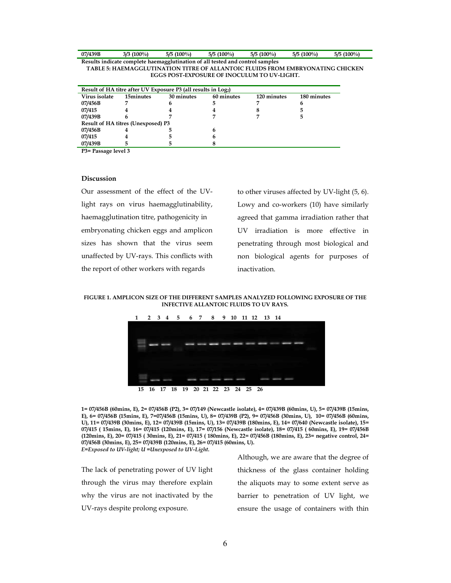| 07/439B                                                                        | $3/3$ (100%) | $5/5(100\%)$ | $5/5(100\%)$ | $5/5(100\%)$                                | $5/5(100\%)$ | $5/5(100\%)$ |  |
|--------------------------------------------------------------------------------|--------------|--------------|--------------|---------------------------------------------|--------------|--------------|--|
| Results indicate complete haemagglutination of all tested and control samples  |              |              |              |                                             |              |              |  |
| TABLE 5: HAEMAGGLUTINATION TITRE OF ALLANTOIC FLUIDS FROM EMBRYONATING CHICKEN |              |              |              |                                             |              |              |  |
|                                                                                |              |              |              | EGGS POST-EXPOSURE OF INOCULUM TO UV-LIGHT. |              |              |  |

| Result of HA titre after UV Exposure P3 (all results in Log <sub>2</sub> ) |           |            |            |             |             |  |  |
|----------------------------------------------------------------------------|-----------|------------|------------|-------------|-------------|--|--|
| Virus isolate                                                              | 15minutes | 30 minutes | 60 minutes | 120 minutes | 180 minutes |  |  |
| 07/456B                                                                    |           | 6          |            |             |             |  |  |
| 07/415                                                                     |           |            |            |             |             |  |  |
| 07/439B                                                                    |           |            |            |             |             |  |  |
| <b>Result of HA titres (Unexposed) P3</b>                                  |           |            |            |             |             |  |  |
| 07/456B                                                                    |           |            |            |             |             |  |  |
| 07/415                                                                     |           |            |            |             |             |  |  |
| 07/439B                                                                    |           |            |            |             |             |  |  |
| $D_2 - D_1 - D_2 - D_3 - D_4 - D_5$                                        |           |            |            |             |             |  |  |

**P3= Passage level 3** 

### **Discussion**

Our assessment of the effect of the UVlight rays on virus haemagglutinability, haemagglutination titre, pathogenicity in embryonating chicken eggs and amplicon sizes has shown that the virus seem unaffected by UV-rays. This conflicts with the report of other workers with regards

to other viruses affected by UV-light (5, 6). Lowy and co-workers (10) have similarly agreed that gamma irradiation rather that UV irradiation is more effective in penetrating through most biological and non biological agents for purposes of inactivation.

**FIGURE 1. AMPLICON SIZE OF THE DIFFERENT SAMPLES ANALYZED FOLLOWING EXPOSURE OF THE INFECTIVE ALLANTOIC FLUIDS TO UV RAYS.** 



**1= 07/456B (60mins, E), 2= 07/456B (P2), 3= 07/149 (Newcastle isolate), 4= 07/439B (60mins, U), 5= 07/439B (15mins, E), 6= 07/456B (15mins, E), 7=07/456B (15mins, U), 8= 07/439B (P2), 9= 07/456B (30mins, U), 10= 07/456B (60mins, U), 11= 07/439B (30mins, E), 12= 07/439B (15mins, U), 13= 07/439B (180mins, E), 14= 07/640 (Newcastle isolate), 15= 07/415 ( 15mins, E), 16= 07/415 (120mins, E), 17= 07/156 (Newcastle isolate), 18= 07/415 ( 60mins, E), 19= 07/456B (120mins, E), 20= 07/415 ( 30mins, E), 21= 07/415 ( 180mins, E), 22= 07/456B (180mins, E), 23= negative control, 24= 07/456B (30mins, E), 25= 07/439B (120mins, E), 26= 07/415 (60mins, U).** 

*E=Exposed to UV-light; U =Unexposed to UV-Light.* 

The lack of penetrating power of UV light through the virus may therefore explain why the virus are not inactivated by the UV-rays despite prolong exposure.

Although, we are aware that the degree of thickness of the glass container holding the aliquots may to some extent serve as barrier to penetration of UV light, we ensure the usage of containers with thin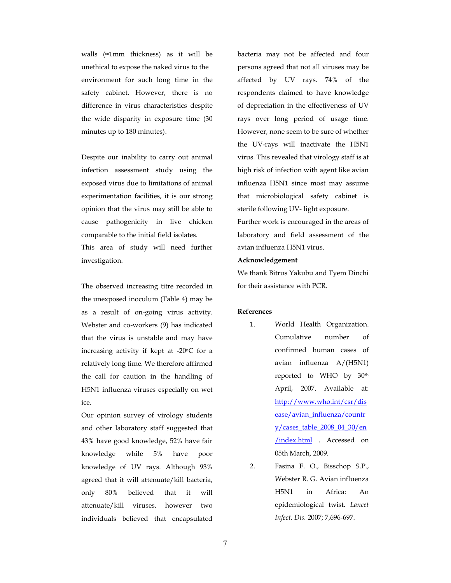walls (≈1mm thickness) as it will be unethical to expose the naked virus to the environment for such long time in the safety cabinet. However, there is no difference in virus characteristics despite the wide disparity in exposure time (30 minutes up to 180 minutes).

Despite our inability to carry out animal infection assessment study using the exposed virus due to limitations of animal experimentation facilities, it is our strong opinion that the virus may still be able to cause pathogenicity in live chicken comparable to the initial field isolates.

This area of study will need further investigation.

The observed increasing titre recorded in the unexposed inoculum (Table 4) may be as a result of on-going virus activity. Webster and co-workers (9) has indicated that the virus is unstable and may have increasing activity if kept at  $-20^{\circ}$ C for a relatively long time. We therefore affirmed the call for caution in the handling of H5N1 influenza viruses especially on wet ice.

Our opinion survey of virology students and other laboratory staff suggested that 43% have good knowledge, 52% have fair knowledge while 5% have poor knowledge of UV rays. Although 93% agreed that it will attenuate/kill bacteria, only 80% believed that it will attenuate/kill viruses, however two individuals believed that encapsulated bacteria may not be affected and four persons agreed that not all viruses may be affected by UV rays. 74% of the respondents claimed to have knowledge of depreciation in the effectiveness of UV rays over long period of usage time. However, none seem to be sure of whether the UV-rays will inactivate the H5N1 virus. This revealed that virology staff is at high risk of infection with agent like avian influenza H5N1 since most may assume that microbiological safety cabinet is sterile following UV- light exposure.

Further work is encouraged in the areas of laboratory and field assessment of the avian influenza H5N1 virus.

### **Acknowledgement**

We thank Bitrus Yakubu and Tyem Dinchi for their assistance with PCR.

## **References**

- 1. World Health Organization. Cumulative number of confirmed human cases of avian influenza A/(H5N1) reported to WHO by 30th April, 2007. Available at: http://www.who.int/csr/dis ease/avian\_influenza/countr y/cases\_table\_2008\_04\_30/en /index.html . Accessed on 05th March, 2009.
- 2. Fasina F. O., Bisschop S.P., Webster R. G. Avian influenza H5N1 in Africa: An epidemiological twist. *Lancet Infect. Dis.* 2007; 7,696-697.